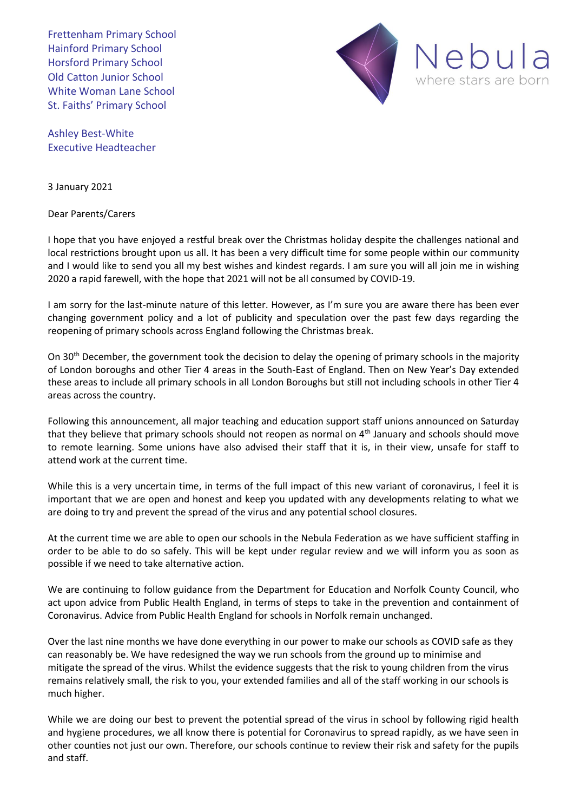Frettenham Primary School Hainford Primary School Horsford Primary School Old Catton Junior School White Woman Lane School St. Faiths' Primary School



Ashley Best-White Executive Headteacher

3 January 2021

Dear Parents/Carers

I hope that you have enjoyed a restful break over the Christmas holiday despite the challenges national and local restrictions brought upon us all. It has been a very difficult time for some people within our community and I would like to send you all my best wishes and kindest regards. I am sure you will all join me in wishing 2020 a rapid farewell, with the hope that 2021 will not be all consumed by COVID-19.

I am sorry for the last-minute nature of this letter. However, as I'm sure you are aware there has been ever changing government policy and a lot of publicity and speculation over the past few days regarding the reopening of primary schools across England following the Christmas break.

On 30<sup>th</sup> December, the government took the decision to delay the opening of primary schools in the majority of London boroughs and other Tier 4 areas in the South-East of England. Then on New Year's Day extended these areas to include all primary schools in all London Boroughs but still not including schools in other Tier 4 areas across the country.

Following this announcement, all major teaching and education support staff unions announced on Saturday that they believe that primary schools should not reopen as normal on 4th January and school*s* should move to remote learning. Some unions have also advised their staff that it is, in their view, unsafe for staff to attend work at the current time.

While this is a very uncertain time, in terms of the full impact of this new variant of coronavirus, I feel it is important that we are open and honest and keep you updated with any developments relating to what we are doing to try and prevent the spread of the virus and any potential school closures.

At the current time we are able to open our schools in the Nebula Federation as we have sufficient staffing in order to be able to do so safely. This will be kept under regular review and we will inform you as soon as possible if we need to take alternative action.

We are continuing to follow guidance from the Department for Education and Norfolk County Council, who act upon advice from Public Health England, in terms of steps to take in the prevention and containment of Coronavirus. Advice from Public Health England for schools in Norfolk remain unchanged.

Over the last nine months we have done everything in our power to make our schools as COVID safe as they can reasonably be. We have redesigned the way we run schools from the ground up to minimise and mitigate the spread of the virus. Whilst the evidence suggests that the risk to young children from the virus remains relatively small, the risk to you, your extended families and all of the staff working in our schools is much higher.

While we are doing our best to prevent the potential spread of the virus in school by following rigid health and hygiene procedures, we all know there is potential for Coronavirus to spread rapidly, as we have seen in other counties not just our own. Therefore, our schools continue to review their risk and safety for the pupils and staff.